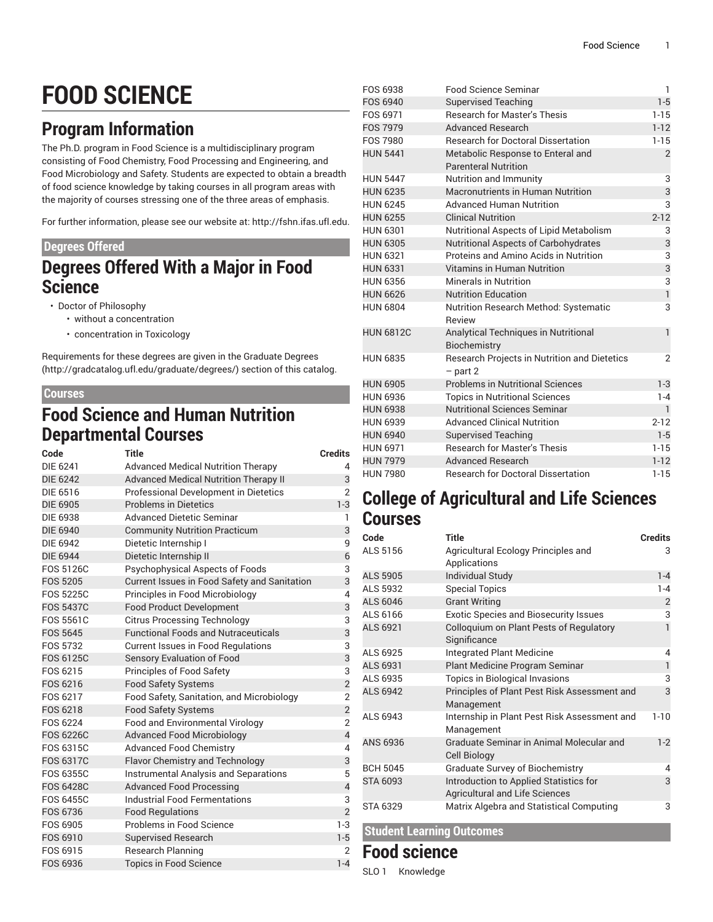# **FOOD SCIENCE**

## **Program Information**

The Ph.D. program in Food Science is a multidisciplinary program consisting of Food Chemistry, Food Processing and Engineering, and Food Microbiology and Safety. Students are expected to obtain a breadth of food science knowledge by taking courses in all program areas with the majority of courses stressing one of the three areas of emphasis.

For further information, please see our website at: <http://fshn.ifas.ufl.edu>.

### **Degrees Offered**

### **Degrees Offered With a Major in Food Science**

• Doctor of Philosophy

- without a concentration
	- concentration in Toxicology

Requirements for these degrees are given in the [Graduate](http://gradcatalog.ufl.edu/graduate/degrees/) Degrees ([http://gradcatalog.ufl.edu/graduate/degrees/\)](http://gradcatalog.ufl.edu/graduate/degrees/) section of this catalog.

### **Courses**

### **Food Science and Human Nutrition Departmental Courses**

| Code             | <b>Title</b>                                 | <b>Credits</b> |
|------------------|----------------------------------------------|----------------|
| <b>DIE 6241</b>  | <b>Advanced Medical Nutrition Therapy</b>    | 4              |
| <b>DIE 6242</b>  | <b>Advanced Medical Nutrition Therapy II</b> | 3              |
| DIE 6516         | Professional Development in Dietetics        | $\overline{2}$ |
| <b>DIE 6905</b>  | <b>Problems in Dietetics</b>                 | $1-3$          |
| <b>DIE 6938</b>  | <b>Advanced Dietetic Seminar</b>             | 1              |
| <b>DIE 6940</b>  | <b>Community Nutrition Practicum</b>         | 3              |
| <b>DIE 6942</b>  | Dietetic Internship I                        | 9              |
| <b>DIE 6944</b>  | Dietetic Internship II                       | $\overline{6}$ |
| FOS 5126C        | Psychophysical Aspects of Foods              | 3              |
| <b>FOS 5205</b>  | Current Issues in Food Safety and Sanitation | 3              |
| <b>FOS 5225C</b> | Principles in Food Microbiology              | $\overline{4}$ |
| <b>FOS 5437C</b> | <b>Food Product Development</b>              | 3              |
| <b>FOS 5561C</b> | <b>Citrus Processing Technology</b>          | 3              |
| <b>FOS 5645</b>  | <b>Functional Foods and Nutraceuticals</b>   | 3              |
| FOS 5732         | <b>Current Issues in Food Regulations</b>    | 3              |
| <b>FOS 6125C</b> | Sensory Evaluation of Food                   | 3              |
| FOS 6215         | Principles of Food Safety                    | 3              |
| FOS 6216         | <b>Food Safety Systems</b>                   | $\overline{2}$ |
| FOS 6217         | Food Safety, Sanitation, and Microbiology    | $\overline{2}$ |
| FOS 6218         | <b>Food Safety Systems</b>                   | $\overline{2}$ |
| FOS 6224         | <b>Food and Environmental Virology</b>       | $\overline{2}$ |
| <b>FOS 6226C</b> | <b>Advanced Food Microbiology</b>            | $\overline{4}$ |
| FOS 6315C        | <b>Advanced Food Chemistry</b>               | $\overline{4}$ |
| FOS 6317C        | <b>Flavor Chemistry and Technology</b>       | 3              |
| FOS 6355C        | Instrumental Analysis and Separations        | 5              |
| <b>FOS 6428C</b> | <b>Advanced Food Processing</b>              | $\overline{4}$ |
| <b>FOS 6455C</b> | <b>Industrial Food Fermentations</b>         | 3              |
| FOS 6736         | <b>Food Regulations</b>                      | $\overline{2}$ |
| FOS 6905         | Problems in Food Science                     | $1-3$          |
| FOS 6910         | Supervised Research                          | $1 - 5$        |
| FOS 6915         | <b>Research Planning</b>                     | $\overline{2}$ |
| FOS 6936         | <b>Topics in Food Science</b>                | $1 - 4$        |

| FOS 6938         | <b>Food Science Seminar</b>                                | 1              |
|------------------|------------------------------------------------------------|----------------|
| FOS 6940         | <b>Supervised Teaching</b>                                 | $1 - 5$        |
| FOS 6971         | <b>Research for Master's Thesis</b>                        | $1 - 15$       |
| <b>FOS 7979</b>  | Advanced Research                                          | $1 - 12$       |
| FOS 7980         | <b>Research for Doctoral Dissertation</b>                  | $1 - 15$       |
| <b>HUN 5441</b>  | Metabolic Response to Enteral and                          | $\overline{2}$ |
|                  | <b>Parenteral Nutrition</b>                                |                |
| <b>HUN 5447</b>  | Nutrition and Immunity                                     | 3              |
| <b>HUN 6235</b>  | Macronutrients in Human Nutrition                          | 3              |
| <b>HUN 6245</b>  | <b>Advanced Human Nutrition</b>                            | 3              |
| <b>HUN 6255</b>  | <b>Clinical Nutrition</b>                                  | $2 - 12$       |
| <b>HUN 6301</b>  | <b>Nutritional Aspects of Lipid Metabolism</b>             | 3              |
| <b>HUN 6305</b>  | <b>Nutritional Aspects of Carbohydrates</b>                | 3              |
| <b>HUN 6321</b>  | Proteins and Amino Acids in Nutrition                      | 3              |
| <b>HUN 6331</b>  | Vitamins in Human Nutrition                                | 3              |
| <b>HUN 6356</b>  | Minerals in Nutrition                                      | 3              |
| <b>HUN 6626</b>  | <b>Nutrition Education</b>                                 | $\mathbf{1}$   |
| <b>HUN 6804</b>  | Nutrition Research Method: Systematic                      | 3              |
|                  | Review                                                     |                |
| <b>HUN 6812C</b> | <b>Analytical Techniques in Nutritional</b>                | $\mathbf{1}$   |
| <b>HUN 6835</b>  | Biochemistry                                               | $\overline{2}$ |
|                  | Research Projects in Nutrition and Dietetics<br>$-$ part 2 |                |
| <b>HUN 6905</b>  | <b>Problems in Nutritional Sciences</b>                    | $1 - 3$        |
| <b>HUN 6936</b>  | <b>Topics in Nutritional Sciences</b>                      | $1 - 4$        |
| <b>HUN 6938</b>  | <b>Nutritional Sciences Seminar</b>                        | $\mathbf{1}$   |
| <b>HUN 6939</b>  | <b>Advanced Clinical Nutrition</b>                         | $2 - 12$       |
| <b>HUN 6940</b>  | <b>Supervised Teaching</b>                                 | $1 - 5$        |
| <b>HUN 6971</b>  | <b>Research for Master's Thesis</b>                        | $1 - 15$       |
| <b>HUN 7979</b>  | <b>Advanced Research</b>                                   | $1 - 12$       |
| <b>HUN 7980</b>  | <b>Research for Doctoral Dissertation</b>                  | $1 - 15$       |

### **College of Agricultural and Life Sciences Courses**

| Code            | <b>Title</b>                                                                    | <b>Credits</b> |
|-----------------|---------------------------------------------------------------------------------|----------------|
| ALS 5156        | Agricultural Ecology Principles and<br>Applications                             | 3              |
| <b>ALS 5905</b> | <b>Individual Study</b>                                                         | $1 - 4$        |
| ALS 5932        | <b>Special Topics</b>                                                           | $1 - 4$        |
| ALS 6046        | <b>Grant Writing</b>                                                            | $\overline{2}$ |
| ALS 6166        | <b>Exotic Species and Biosecurity Issues</b>                                    | 3              |
| ALS 6921        | <b>Colloquium on Plant Pests of Regulatory</b><br>Significance                  | 1              |
| ALS 6925        | Integrated Plant Medicine                                                       | 4              |
| ALS 6931        | Plant Medicine Program Seminar                                                  | 1              |
| ALS 6935        | <b>Topics in Biological Invasions</b>                                           | 3              |
| <b>ALS 6942</b> | Principles of Plant Pest Risk Assessment and<br>Management                      | $\overline{3}$ |
| ALS 6943        | Internship in Plant Pest Risk Assessment and<br>Management                      | $1 - 10$       |
| ANS 6936        | Graduate Seminar in Animal Molecular and<br><b>Cell Biology</b>                 | $1-2$          |
| <b>BCH 5045</b> | <b>Graduate Survey of Biochemistry</b>                                          | 4              |
| <b>STA 6093</b> | Introduction to Applied Statistics for<br><b>Agricultural and Life Sciences</b> | 3              |
| STA 6329        | Matrix Algebra and Statistical Computing                                        | 3              |

**Student Learning Outcomes**

### **Food science**

SLO 1 Knowledge